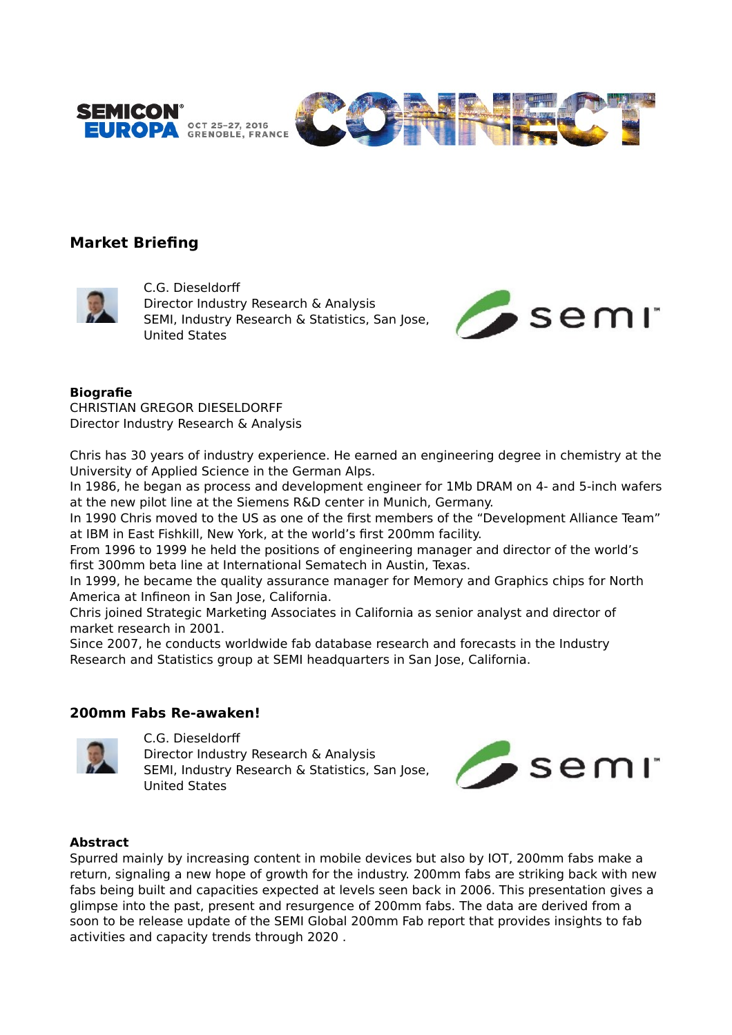



# **Market Briefing**



C.G. Dieseldorf Director Industry Research & Analysis SEMI, Industry Research & Statistics, San Jose, United States



### **Biografie**

CHRISTIAN GREGOR DIESELDORFF Director Industry Research & Analysis

Chris has 30 years of industry experience. He earned an engineering degree in chemistry at the University of Applied Science in the German Alps.

In 1986, he began as process and development engineer for 1Mb DRAM on 4- and 5-inch wafers at the new pilot line at the Siemens R&D center in Munich, Germany.

In 1990 Chris moved to the US as one of the first members of the "Development Alliance Team" at IBM in East Fishkill, New York, at the world's first 200mm facility.

From 1996 to 1999 he held the positions of engineering manager and director of the world's first 300mm beta line at International Sematech in Austin, Texas.

In 1999, he became the quality assurance manager for Memory and Graphics chips for North America at Infineon in San Jose, California.

Chris joined Strategic Marketing Associates in California as senior analyst and director of market research in 2001.

Since 2007, he conducts worldwide fab database research and forecasts in the Industry Research and Statistics group at SEMI headquarters in San Jose, California.

### **200mm Fabs Re-awaken!**



C.G. Dieseldorf

Director Industry Research & Analysis SEMI, Industry Research & Statistics, San Jose, United States



### **Abstract**

Spurred mainly by increasing content in mobile devices but also by IOT, 200mm fabs make a return, signaling a new hope of growth for the industry. 200mm fabs are striking back with new fabs being built and capacities expected at levels seen back in 2006. This presentation gives a glimpse into the past, present and resurgence of 200mm fabs. The data are derived from a soon to be release update of the SEMI Global 200mm Fab report that provides insights to fab activities and capacity trends through 2020 .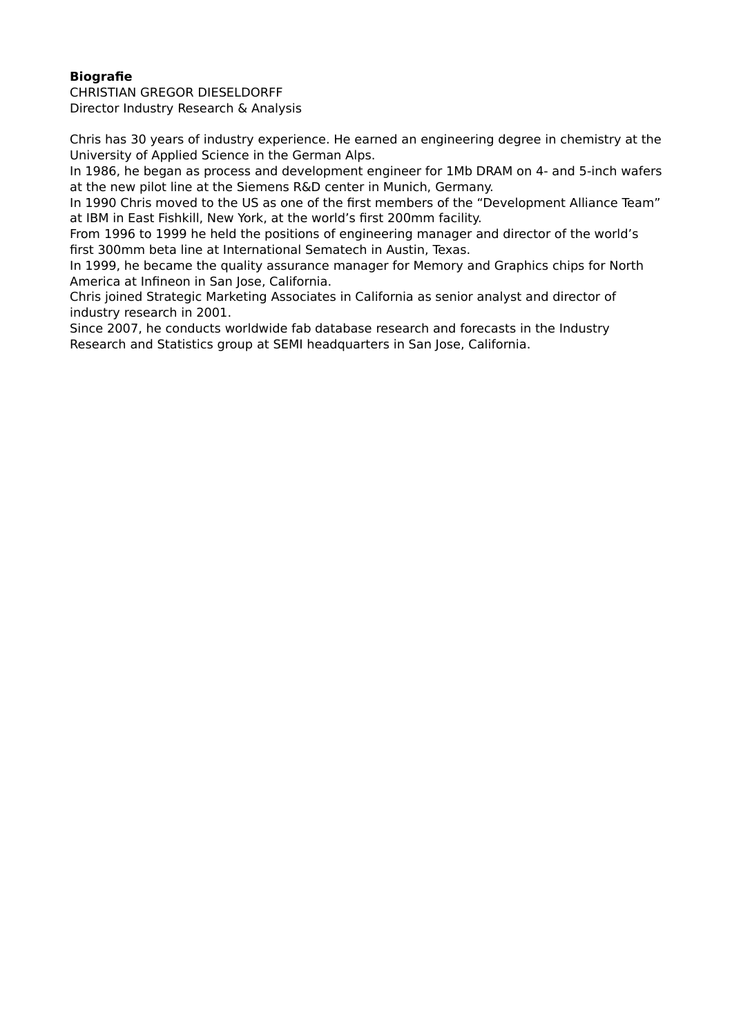## **Biografie**

CHRISTIAN GREGOR DIESELDORFF Director Industry Research & Analysis

Chris has 30 years of industry experience. He earned an engineering degree in chemistry at the University of Applied Science in the German Alps.

In 1986, he began as process and development engineer for 1Mb DRAM on 4- and 5-inch wafers at the new pilot line at the Siemens R&D center in Munich, Germany.

In 1990 Chris moved to the US as one of the first members of the "Development Alliance Team" at IBM in East Fishkill, New York, at the world's first 200mm facility.

From 1996 to 1999 he held the positions of engineering manager and director of the world's first 300mm beta line at International Sematech in Austin, Texas.

In 1999, he became the quality assurance manager for Memory and Graphics chips for North America at Infineon in San Jose, California.

Chris joined Strategic Marketing Associates in California as senior analyst and director of industry research in 2001.

Since 2007, he conducts worldwide fab database research and forecasts in the Industry Research and Statistics group at SEMI headquarters in San Jose, California.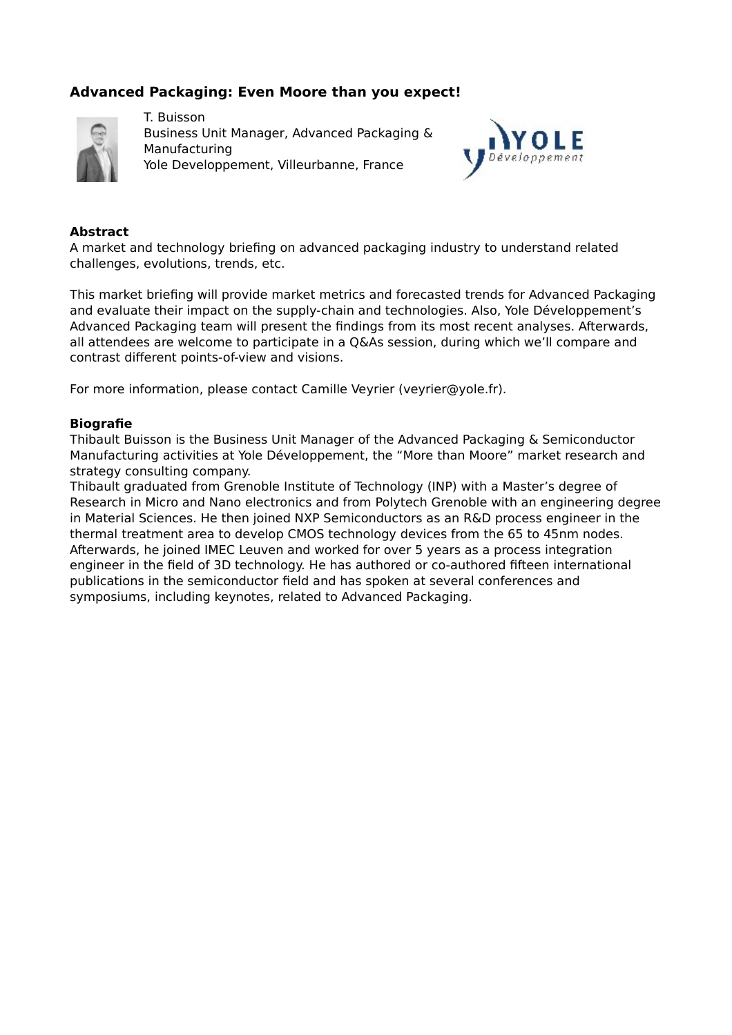# **Advanced Packaging: Even Moore than you expect!**



T. Buisson Business Unit Manager, Advanced Packaging & Manufacturing Yole Developpement, Villeurbanne, France



### **Abstract**

A market and technology briefing on advanced packaging industry to understand related challenges, evolutions, trends, etc.

This market briefing will provide market metrics and forecasted trends for Advanced Packaging and evaluate their impact on the supply-chain and technologies. Also, Yole Développement's Advanced Packaging team will present the findings from its most recent analyses. Afterwards, all attendees are welcome to participate in a Q&As session, during which we'll compare and contrast diferent points-of-view and visions.

For more information, please contact Camille Veyrier (veyrier@yole.fr).

### **Biografie**

Thibault Buisson is the Business Unit Manager of the Advanced Packaging & Semiconductor Manufacturing activities at Yole Développement, the "More than Moore" market research and strategy consulting company.

Thibault graduated from Grenoble Institute of Technology (INP) with a Master's degree of Research in Micro and Nano electronics and from Polytech Grenoble with an engineering degree in Material Sciences. He then joined NXP Semiconductors as an R&D process engineer in the thermal treatment area to develop CMOS technology devices from the 65 to 45nm nodes. Afterwards, he joined IMEC Leuven and worked for over 5 years as a process integration engineer in the field of 3D technology. He has authored or co-authored fifteen international publications in the semiconductor field and has spoken at several conferences and symposiums, including keynotes, related to Advanced Packaging.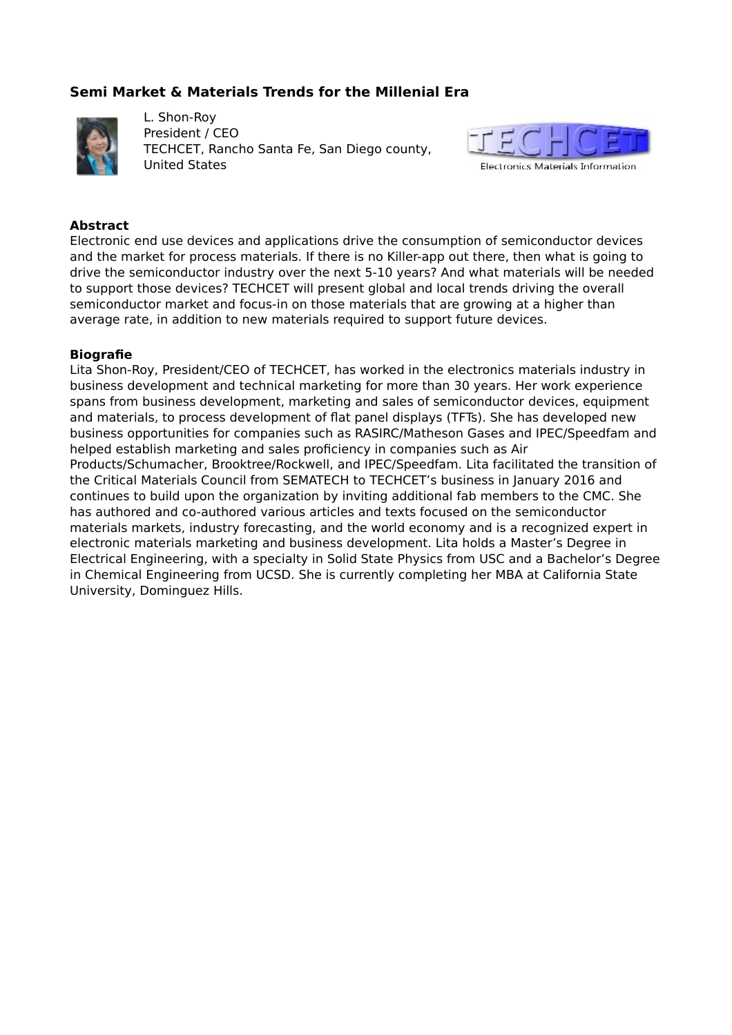# **Semi Market & Materials Trends for the Millenial Era**



L. Shon-Roy President / CEO TECHCET, Rancho Santa Fe, San Diego county, United States



### **Abstract**

Electronic end use devices and applications drive the consumption of semiconductor devices and the market for process materials. If there is no Killer-app out there, then what is going to drive the semiconductor industry over the next 5-10 years? And what materials will be needed to support those devices? TECHCET will present global and local trends driving the overall semiconductor market and focus-in on those materials that are growing at a higher than average rate, in addition to new materials required to support future devices.

#### **Biografie**

Lita Shon-Roy, President/CEO of TECHCET, has worked in the electronics materials industry in business development and technical marketing for more than 30 years. Her work experience spans from business development, marketing and sales of semiconductor devices, equipment and materials, to process development of flat panel displays (TFTs). She has developed new business opportunities for companies such as RASIRC/Matheson Gases and IPEC/Speedfam and helped establish marketing and sales proficiency in companies such as Air Products/Schumacher, Brooktree/Rockwell, and IPEC/Speedfam. Lita facilitated the transition of the Critical Materials Council from SEMATECH to TECHCET's business in January 2016 and continues to build upon the organization by inviting additional fab members to the CMC. She has authored and co-authored various articles and texts focused on the semiconductor materials markets, industry forecasting, and the world economy and is a recognized expert in electronic materials marketing and business development. Lita holds a Master's Degree in Electrical Engineering, with a specialty in Solid State Physics from USC and a Bachelor's Degree in Chemical Engineering from UCSD. She is currently completing her MBA at California State University, Dominguez Hills.